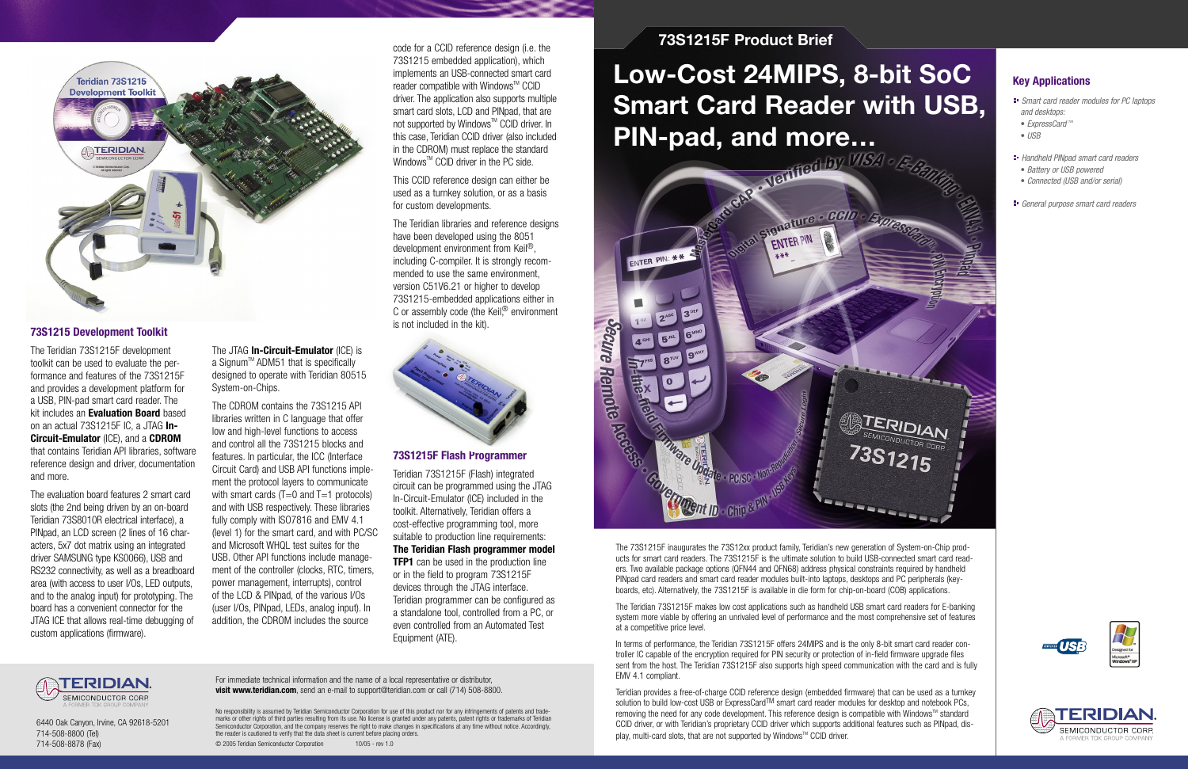This CCID reference design can either be used as a turnkey solution, or as a basis for custom developments.

The Teridian libraries and reference designs have been developed using the 8051 development environment from Keil®, including C-compiler. It is strongly recommended to use the same environment, version C51V6.21 or higher to develop 73S1215-embedded applications either in C or assembly code (the Keil<sup>®</sup> environment is not included in the kit).



## **73S1215F Flash Programmer**

Teridian 73S1215F (Flash) integrated circuit can be programmed using the JTAG In-Circuit-Emulator (ICE) included in the toolkit. Alternatively, Teridian offers a cost-effective programming tool, more suitable to production line requirements: **The Teridian Flash programmer model TFP1** can be used in the production line or in the field to program 73S1215F devices through the JTAG interface. Teridian programmer can be configured as a standalone tool, controlled from a PC, or even controlled from an Automated Test Equipment (ATE).



For immediate technical information and the name of a local representative or distributor, **visit www.teridian.com**, send an e-mail to support@teridian.com or call (714) 508-8800.

Teridian provides a free-of-charge CCID reference design (embedded firmware) that can be used as a turnkey solution to build low-cost USB or ExpressCard<sup>TM</sup> smart card reader modules for desktop and notebook PCs. removing the need for any code development. This reference design is compatible with Windows™ standard CCID driver, or with Teridian's proprietary CCID driver which supports additional features such as PINpad, display, multi-card slots, that are not supported by Windows™ CCID driver.

No responsibility is assumed by Teridian Semiconductor Corporation for use of this product nor for any infringements of patents and trademarks or other rights of third parties resulting from its use. No license is granted under any patents, patent rights or trademarks of Teridian Semiconductor Corporation, and the company reserves the right to make changes in specifications at any time without notice. Accordingly, the reader is cautioned to verify that the data sheet is current before placing orders.

© 2005 Teridian Semiconductor Corporation 10/05 - rev 1.0

6440 Oak Canyon, Irvine, CA 92618-5201 714-508-8800 (Tel) 714-508-8878 (Fax)

# **73S1215F Product Brief**

**Low-Cost 24MIPS, 8-bit SoC Smart Card Reader with USB,** 



## **Key Applications**

- **F** Smart card reader modules for PC laptops and desktops:
- ExpressCard ™
- $\bullet$  USB
- **Handheld PINpad smart card readers**
- Battery or USB powered
- Connected (USB and/or serial)
- **F** General purpose smart card readers







The 73S1215F inaugurates the 73S12xx product family, Teridian's new generation of System-on-Chip products for smart card readers. The 73S1215F is the ultimate solution to build USB-connected smart card readers. Two available package options (QFN44 and QFN68) address physical constraints required by handheld PINpad card readers and smart card reader modules built-into laptops, desktops and PC peripherals (keyboards, etc). Alternatively, the 73S1215F is available in die form for chip-on-board (COB) applications.

The Teridian 73S1215F makes low cost applications such as handheld USB smart card readers for E-banking system more viable by offering an unrivaled level of performance and the most comprehensive set of features at a competitive price level.

In terms of performance, the Teridian 73S1215F offers 24MIPS and is the only 8-bit smart card reader controller IC capable of the encryption required for PIN security or protection of in-field firmware upgrade files sent from the host. The Teridian 73S1215F also supports high speed communication with the card and is fully EMV 4.1 compliant.



### **73S1215 Development Toolkit**

The Teridian 73S1215F development toolkit can be used to evaluate the performance and features of the 73S1215F and provides a development platform for a USB, PIN-pad smart card reader. The kit includes an **Evaluation Board** based on an actual 73S1215F IC, a JTAG **In-Circuit-Emulator** (ICE), and a **CDROM**  that contains Teridian API libraries, software reference design and driver, documentation and more.

The evaluation board features 2 smart card slots (the 2nd being driven by an on-board Teridian 73S8010R electrical interface), a PINpad, an LCD screen (2 lines of 16 characters, 5x7 dot matrix using an integrated driver SAMSUNG type KS0066), USB and RS232 connectivity, as well as a breadboard area (with access to user I/Os, LED outputs, and to the analog input) for prototyping. The board has a convenient connector for the JTAG ICE that allows real-time debugging of custom applications (firmware).

The JTAG **In-Circuit-Emulator** (ICE) is a Signum<sup>™</sup> ADM51 that is specifically designed to operate with Teridian 80515 System-on-Chips.

The CDROM contains the 73S1215 API libraries written in C language that offer low and high-level functions to access and control all the 73S1215 blocks and features. In particular, the ICC (Interface Circuit Card) and USB API functions implement the protocol layers to communicate with smart cards  $(T=0$  and  $T=1$  protocols) and with USB respectively. These libraries fully comply with ISO7816 and EMV 4.1 (level 1) for the smart card, and with PC/SC and Microsoft WHQL test suites for the USB. Other API functions include management of the controller (clocks, RTC, timers, power management, interrupts), control of the LCD & PINpad, of the various I/Os (user I/Os, PINpad, LEDs, analog input). In addition, the CDROM includes the source

code for a CCID reference design (i.e. the 73S1215 embedded application), which implements an USB-connected smart card reader compatible with Windows<sup> $M$ </sup> CCID driver. The application also supports multiple smart card slots, LCD and PINpad, that are not supported by Windows™ CCID driver. In this case, Teridian CCID driver (also included in the CDROM) must replace the standard Windows<sup> $M$ </sup> CCID driver in the PC side.